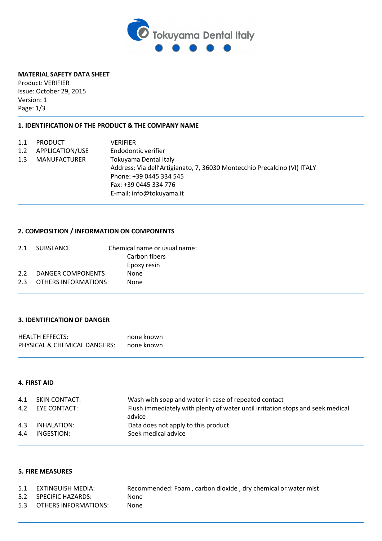

### **MATERIAL SAFETY DATA SHEET**

Product: VERIFIER Issue: October 29, 2015 Version: 1 Page: 1/3

## **1. IDENTIFICATION OF THE PRODUCT & THE COMPANY NAME**

| 1.1 | <b>PRODUCT</b>      | <b>VERIFIER</b>                                                          |
|-----|---------------------|--------------------------------------------------------------------------|
| 1.2 | APPLICATION/USE     | Endodontic verifier                                                      |
| 1.3 | <b>MANUFACTURER</b> | Tokuyama Dental Italy                                                    |
|     |                     | Address: Via dell'Artigianato, 7, 36030 Montecchio Precalcino (VI) ITALY |
|     |                     | Phone: +39 0445 334 545                                                  |
|     |                     | Fax: +39 0445 334 776                                                    |
|     |                     | E-mail: info@tokuyama.it                                                 |

# **2. COMPOSITION / INFORMATION ON COMPONENTS**

|     | 2.1 SUBSTANCE         | Chemical name or usual name: |
|-----|-----------------------|------------------------------|
|     |                       | Carbon fibers                |
|     |                       | Epoxy resin                  |
|     | 2.2 DANGER COMPONENTS | <b>None</b>                  |
| 2.3 | OTHERS INFORMATIONS   | None                         |
|     |                       |                              |

# **3. IDENTIFICATION OF DANGER**

| <b>HEALTH EFFECTS:</b>       | none known |
|------------------------------|------------|
| PHYSICAL & CHEMICAL DANGERS: | none known |

#### **4. FIRST AID**

|     | 4.1 SKIN CONTACT:<br>4.2 EYE CONTACT: | Wash with soap and water in case of repeated contact<br>Flush immediately with plenty of water until irritation stops and seek medical |
|-----|---------------------------------------|----------------------------------------------------------------------------------------------------------------------------------------|
|     |                                       | advice                                                                                                                                 |
| 4.3 | INHALATION:                           | Data does not apply to this product                                                                                                    |
| 4.4 | INGESTION:                            | Seek medical advice                                                                                                                    |

### **5. FIRE MEASURES**

| 5.1 EXTINGUISH MEDIA:    | Recommended: Foam, carbon dioxide, dry chemical or water mist |
|--------------------------|---------------------------------------------------------------|
| 5.2 SPECIFIC HAZARDS:    | None                                                          |
| 5.3 OTHERS INFORMATIONS: | None                                                          |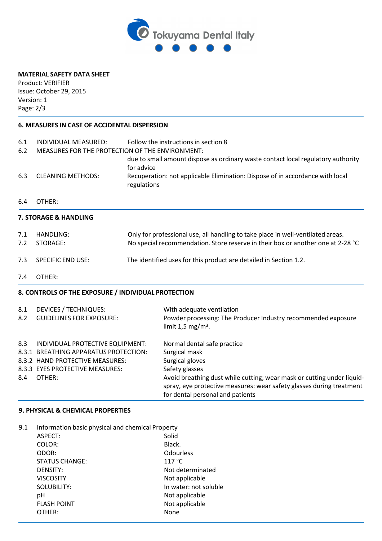

# **MATERIAL SAFETY DATA SHEET**

Product: VERIFIER Issue: October 29, 2015 Version: 1 Page: 2/3

## **6. MEASURES IN CASE OF ACCIDENTAL DISPERSION**

| Follow the instructions in section 8<br>MEASURES FOR THE PROTECTION OF THE ENVIRONMENT: |  |
|-----------------------------------------------------------------------------------------|--|
| due to small amount dispose as ordinary waste contact local regulatory authority        |  |
| Recuperation: not applicable Elimination: Dispose of in accordance with local           |  |
|                                                                                         |  |
|                                                                                         |  |
| Only for professional use, all handling to take place in well-ventilated areas.         |  |
| No special recommendation. Store reserve in their box or another one at 2-28 °C         |  |
| The identified uses for this product are detailed in Section 1.2.                       |  |
|                                                                                         |  |
|                                                                                         |  |
|                                                                                         |  |
| Powder processing: The Producer Industry recommended exposure                           |  |
|                                                                                         |  |
|                                                                                         |  |
|                                                                                         |  |
| Avoid breathing dust while cutting; wear mask or cutting under liquid-                  |  |
| spray, eye protective measures: wear safety glasses during treatment                    |  |
|                                                                                         |  |

### **9. PHYSICAL & CHEMICAL PROPERTIES**

| 9.1 | Information basic physical and chemical Property |                       |
|-----|--------------------------------------------------|-----------------------|
|     | ASPECT:                                          | Solid                 |
|     | COLOR:                                           | Black.                |
|     | ODOR:                                            | <b>Odourless</b>      |
|     | <b>STATUS CHANGE:</b>                            | 117 °C                |
|     | <b>DENSITY:</b>                                  | Not determinated      |
|     | <b>VISCOSITY</b>                                 | Not applicable        |
|     | SOLUBILITY:                                      | In water: not soluble |
|     | рH                                               | Not applicable        |
|     | <b>FLASH POINT</b>                               | Not applicable        |
|     | OTHER:                                           | None                  |